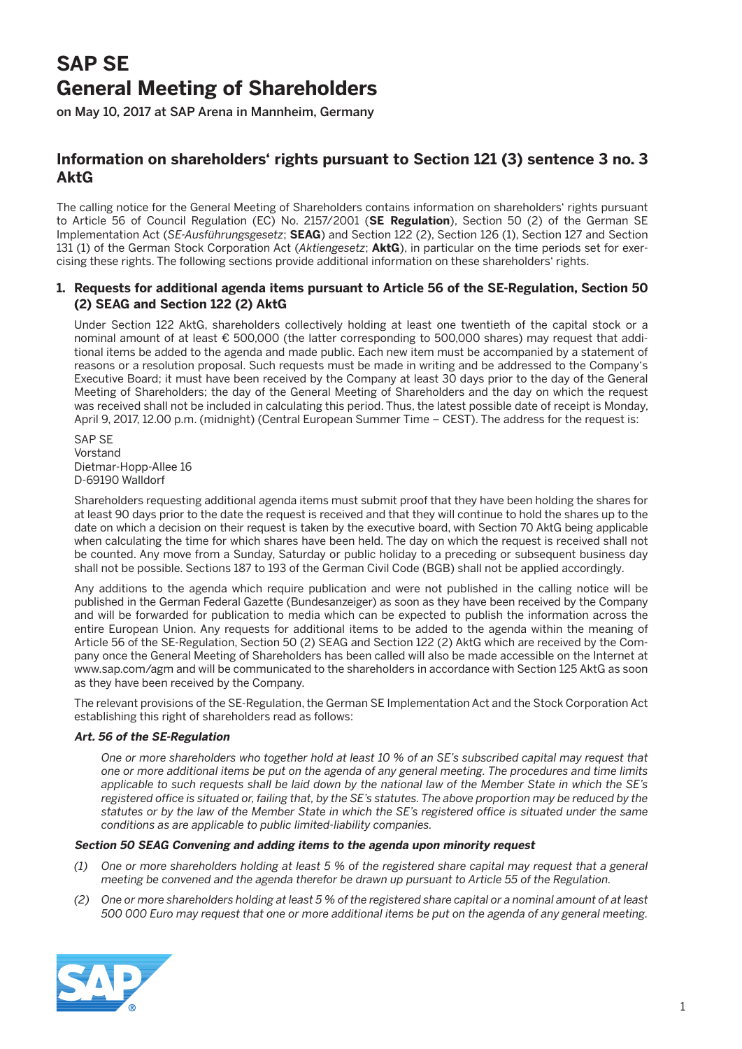# **SAP SE General Meeting of Shareholders**

on May 10, 2017 at SAP Arena in Mannheim, Germany

# **Information on shareholders' rights pursuant to Section 121 (3) sentence 3 no. 3 AktG**

The calling notice for the General Meeting of Shareholders contains information on shareholders' rights pursuant to Article 56 of Council Regulation (EC) No. 2157/2001 (**SE Regulation**), Section 50 (2) of the German SE Implementation Act (*SE-Ausführungsgesetz*; **SEAG**) and Section 122 (2), Section 126 (1), Section 127 and Section 131 (1) of the German Stock Corporation Act (*Aktiengesetz*; **AktG**), in particular on the time periods set for exercising these rights. The following sections provide additional information on these shareholders' rights.

### **1. Requests for additional agenda items pursuant to Article 56 of the SE-Regulation, Section 50 (2) SEAG and Section 122 (2) AktG**

 Under Section 122 AktG, shareholders collectively holding at least one twentieth of the capital stock or a nominal amount of at least € 500,000 (the latter corresponding to 500,000 shares) may request that additional items be added to the agenda and made public. Each new item must be accompanied by a statement of reasons or a resolution proposal. Such requests must be made in writing and be addressed to the Company's Executive Board; it must have been received by the Company at least 30 days prior to the day of the General Meeting of Shareholders; the day of the General Meeting of Shareholders and the day on which the request was received shall not be included in calculating this period. Thus, the latest possible date of receipt is Monday, April 9, 2017, 12.00 p.m. (midnight) (Central European Summer Time – CEST). The address for the request is:

 SAP SE Vorstand Dietmar-Hopp-Allee 16 D-69190 Walldorf

 Shareholders requesting additional agenda items must submit proof that they have been holding the shares for at least 90 days prior to the date the request is received and that they will continue to hold the shares up to the date on which a decision on their request is taken by the executive board, with Section 70 AktG being applicable when calculating the time for which shares have been held. The day on which the request is received shall not be counted. Any move from a Sunday, Saturday or public holiday to a preceding or subsequent business day shall not be possible. Sections 187 to 193 of the German Civil Code (BGB) shall not be applied accordingly.

 Any additions to the agenda which require publication and were not published in the calling notice will be published in the German Federal Gazette (Bundesanzeiger) as soon as they have been received by the Company and will be forwarded for publication to media which can be expected to publish the information across the entire European Union. Any requests for additional items to be added to the agenda within the meaning of Article 56 of the SE-Regulation, Section 50 (2) SEAG and Section 122 (2) AktG which are received by the Company once the General Meeting of Shareholders has been called will also be made accessible on the Internet at www.sap.com/agm and will be communicated to the shareholders in accordance with Section 125 AktG as soon as they have been received by the Company.

 The relevant provisions of the SE-Regulation, the German SE Implementation Act and the Stock Corporation Act establishing this right of shareholders read as follows:

#### **Art. 56 of the SE-Regulation**

 *One or more shareholders who together hold at least 10 % of an SE's subscribed capital may request that one or more additional items be put on the agenda of any general meeting. The procedures and time limits applicable to such requests shall be laid down by the national law of the Member State in which the SE's registered office is situated or, failing that, by the SE's statutes. The above proportion may be reduced by the statutes or by the law of the Member State in which the SE's registered office is situated under the same conditions as are applicable to public limited-liability companies.*

#### **Section 50 SEAG Convening and adding items to the agenda upon minority request**

- *(1) One or more shareholders holding at least 5 % of the registered share capital may request that a general meeting be convened and the agenda therefor be drawn up pursuant to Article 55 of the Regulation.*
- *(2) One or more shareholders holding at least 5 % of the registered share capital or a nominal amount of at least 500 000 Euro may request that one or more additional items be put on the agenda of any general meeting.*

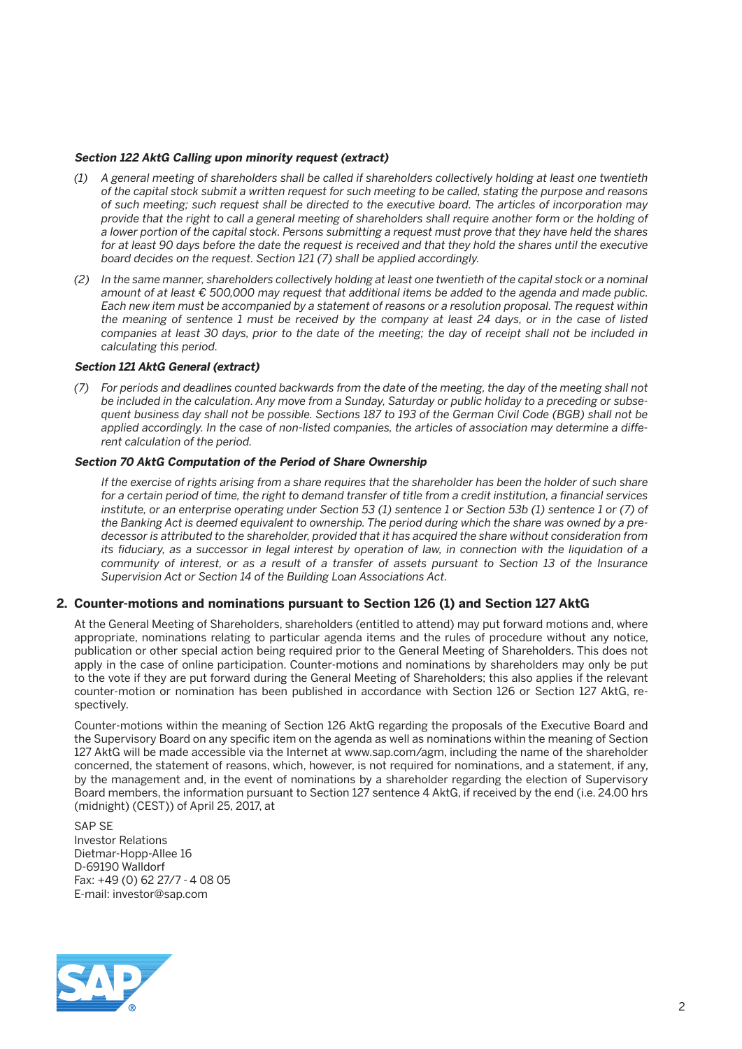#### **Section 122 AktG Calling upon minority request (extract)**

- *(1) A general meeting of shareholders shall be called if shareholders collectively holding at least one twentieth of the capital stock submit a written request for such meeting to be called, stating the purpose and reasons of such meeting; such request shall be directed to the executive board. The articles of incorporation may provide that the right to call a general meeting of shareholders shall require another form or the holding of a lower portion of the capital stock. Persons submitting a request must prove that they have held the shares*  for at least 90 days before the date the request is received and that they hold the shares until the executive *board decides on the request. Section 121 (7) shall be applied accordingly.*
- *(2) In the same manner, shareholders collectively holding at least one twentieth of the capital stock or a nominal amount of at least € 500,000 may request that additional items be added to the agenda and made public. Each new item must be accompanied by a statement of reasons or a resolution proposal. The request within the meaning of sentence 1 must be received by the company at least 24 days, or in the case of listed companies at least 30 days, prior to the date of the meeting; the day of receipt shall not be included in calculating this period.*

#### **Section 121 AktG General (extract)**

 *(7) For periods and deadlines counted backwards from the date of the meeting, the day of the meeting shall not be included in the calculation. Any move from a Sunday, Saturday or public holiday to a preceding or subsequent business day shall not be possible. Sections 187 to 193 of the German Civil Code (BGB) shall not be applied accordingly. In the case of non-listed companies, the articles of association may determine a different calculation of the period.*

#### **Section 70 AktG Computation of the Period of Share Ownership**

*If the exercise of rights arising from a share requires that the shareholder has been the holder of such share for a certain period of time, the right to demand transfer of title from a credit institution, a financial services institute, or an enterprise operating under Section 53 (1) sentence 1 or Section 53b (1) sentence 1 or (7) of the Banking Act is deemed equivalent to ownership. The period during which the share was owned by a predecessor is attributed to the shareholder, provided that it has acquired the share without consideration from its fiduciary, as a successor in legal interest by operation of law, in connection with the liquidation of a community of interest, or as a result of a transfer of assets pursuant to Section 13 of the Insurance Supervision Act or Section 14 of the Building Loan Associations Act.*

#### **2. Counter-motions and nominations pursuant to Section 126 (1) and Section 127 AktG**

 At the General Meeting of Shareholders, shareholders (entitled to attend) may put forward motions and, where appropriate, nominations relating to particular agenda items and the rules of procedure without any notice, publication or other special action being required prior to the General Meeting of Shareholders. This does not apply in the case of online participation. Counter-motions and nominations by shareholders may only be put to the vote if they are put forward during the General Meeting of Shareholders; this also applies if the relevant counter-motion or nomination has been published in accordance with Section 126 or Section 127 AktG, respectively.

 Counter-motions within the meaning of Section 126 AktG regarding the proposals of the Executive Board and the Supervisory Board on any specific item on the agenda as well as nominations within the meaning of Section 127 AktG will be made accessible via the Internet at www.sap.com/agm, including the name of the shareholder concerned, the statement of reasons, which, however, is not required for nominations, and a statement, if any, by the management and, in the event of nominations by a shareholder regarding the election of Supervisory Board members, the information pursuant to Section 127 sentence 4 AktG, if received by the end (i.e. 24.00 hrs (midnight) (CEST)) of April 25, 2017, at

 SAP SE Investor Relations Dietmar-Hopp-Allee 16 D-69190 Walldorf Fax: +49 (0) 62 27/7 - 4 08 05 E-mail: investor@sap.com

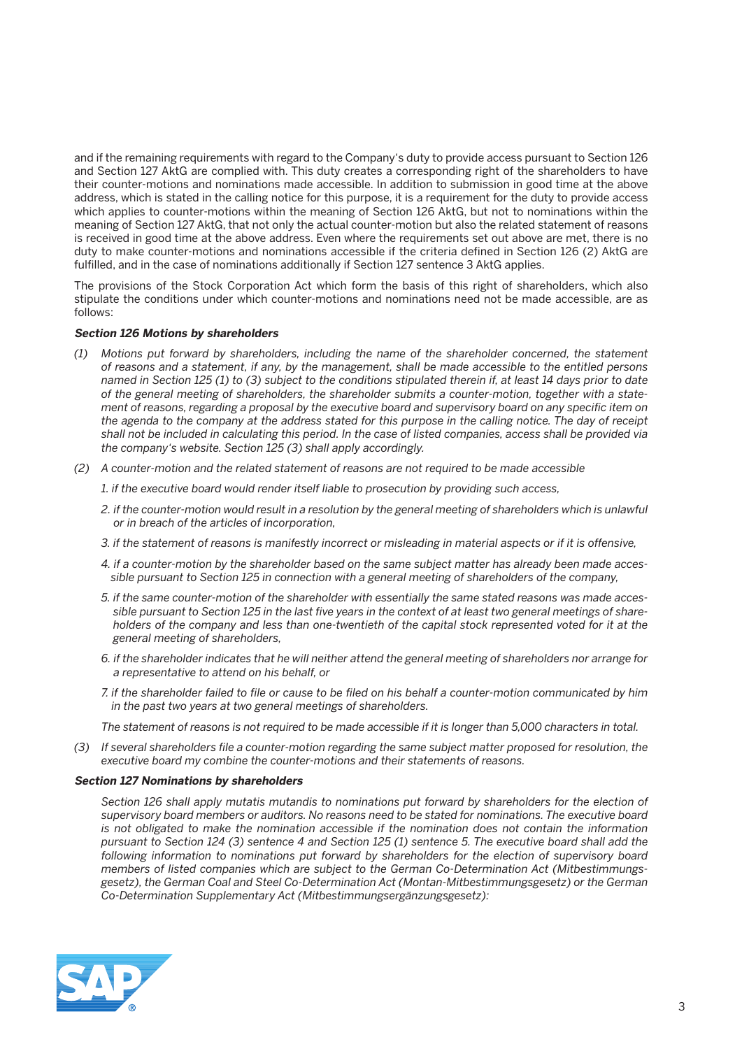and if the remaining requirements with regard to the Company's duty to provide access pursuant to Section 126 and Section 127 AktG are complied with. This duty creates a corresponding right of the shareholders to have their counter-motions and nominations made accessible. In addition to submission in good time at the above address, which is stated in the calling notice for this purpose, it is a requirement for the duty to provide access which applies to counter-motions within the meaning of Section 126 AktG, but not to nominations within the meaning of Section 127 AktG, that not only the actual counter-motion but also the related statement of reasons is received in good time at the above address. Even where the requirements set out above are met, there is no duty to make counter-motions and nominations accessible if the criteria defined in Section 126 (2) AktG are fulfilled, and in the case of nominations additionally if Section 127 sentence 3 AktG applies.

 The provisions of the Stock Corporation Act which form the basis of this right of shareholders, which also stipulate the conditions under which counter-motions and nominations need not be made accessible, are as follows:

#### **Section 126 Motions by shareholders**

- *(1) Motions put forward by shareholders, including the name of the shareholder concerned, the statement of reasons and a statement, if any, by the management, shall be made accessible to the entitled persons named in Section 125 (1) to (3) subject to the conditions stipulated therein if, at least 14 days prior to date of the general meeting of shareholders, the shareholder submits a counter-motion, together with a statement of reasons, regarding a proposal by the executive board and supervisory board on any specific item on the agenda to the company at the address stated for this purpose in the calling notice. The day of receipt shall not be included in calculating this period. In the case of listed companies, access shall be provided via the company's website. Section 125 (3) shall apply accordingly.*
- *(2) A counter-motion and the related statement of reasons are not required to be made accessible*
	- *1. if the executive board would render itself liable to prosecution by providing such access,*
	- *2. if the counter-motion would result in a resolution by the general meeting of shareholders which is unlawful or in breach of the articles of incorporation,*
	- *3. if the statement of reasons is manifestly incorrect or misleading in material aspects or if it is offensive,*
	- *4. if a counter-motion by the shareholder based on the same subject matter has already been made accessible pursuant to Section 125 in connection with a general meeting of shareholders of the company,*
	- *5. if the same counter-motion of the shareholder with essentially the same stated reasons was made accessible pursuant to Section 125 in the last five years in the context of at least two general meetings of shareholders of the company and less than one-twentieth of the capital stock represented voted for it at the general meeting of shareholders,*
	- *6. if the shareholder indicates that he will neither attend the general meeting of shareholders nor arrange for a representative to attend on his behalf, or*
	- *7. if the shareholder failed to file or cause to be filed on his behalf a counter-motion communicated by him in the past two years at two general meetings of shareholders.*

 *The statement of reasons is not required to be made accessible if it is longer than 5,000 characters in total.*

 *(3) If several shareholders file a counter-motion regarding the same subject matter proposed for resolution, the executive board my combine the counter-motions and their statements of reasons.*

#### **Section 127 Nominations by shareholders**

 *Section 126 shall apply mutatis mutandis to nominations put forward by shareholders for the election of supervisory board members or auditors. No reasons need to be stated for nominations. The executive board is not obligated to make the nomination accessible if the nomination does not contain the information pursuant to Section 124 (3) sentence 4 and Section 125 (1) sentence 5. The executive board shall add the following information to nominations put forward by shareholders for the election of supervisory board members of listed companies which are subject to the German Co-Determination Act (Mitbestimmungsgesetz), the German Coal and Steel Co-Determination Act (Montan-Mitbestimmungsgesetz) or the German Co-Determination Supplementary Act (Mitbestimmungsergänzungsgesetz):*

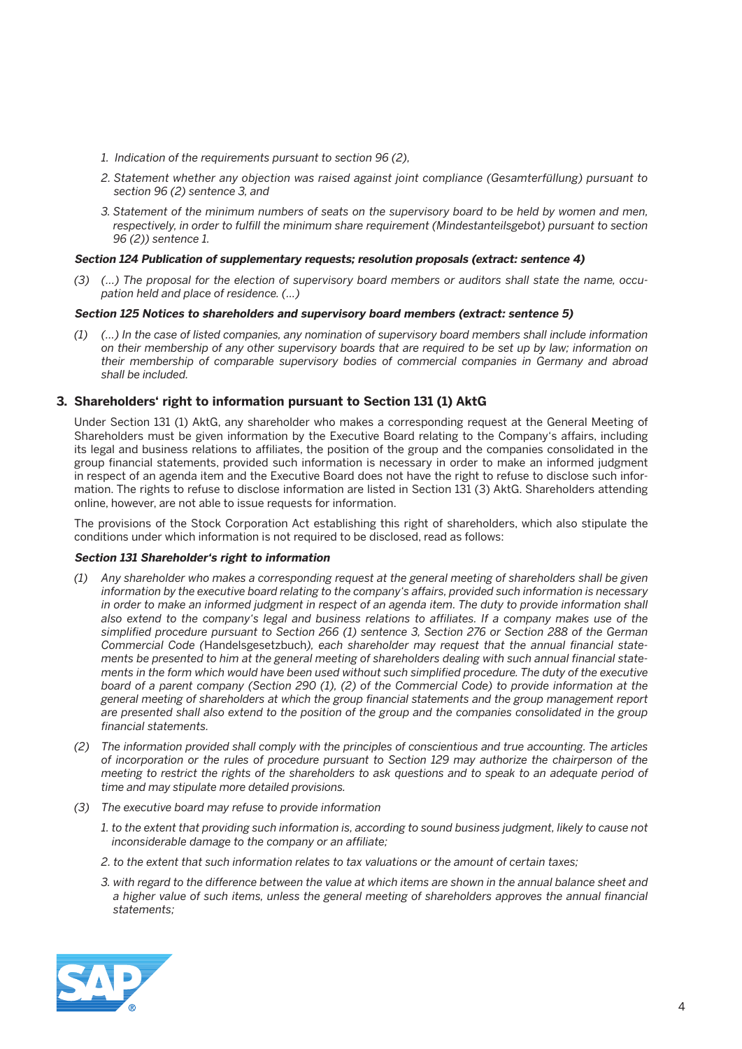- *1. Indication of the requirements pursuant to section 96 (2),*
- *2. Statement whether any objection was raised against joint compliance (Gesamterfüllung) pursuant to section 96 (2) sentence 3, and*
- *3. Statement of the minimum numbers of seats on the supervisory board to be held by women and men, respectively, in order to fulfill the minimum share requirement (Mindestanteilsgebot) pursuant to section 96 (2)) sentence 1.*

#### **Section 124 Publication of supplementary requests; resolution proposals (extract: sentence 4)**

 *(3) (...) The proposal for the election of supervisory board members or auditors shall state the name, occupation held and place of residence. (...)*

#### **Section 125 Notices to shareholders and supervisory board members (extract: sentence 5)**

 *(1) (…) In the case of listed companies, any nomination of supervisory board members shall include information on their membership of any other supervisory boards that are required to be set up by law; information on their membership of comparable supervisory bodies of commercial companies in Germany and abroad shall be included.*

## **3. Shareholders' right to information pursuant to Section 131 (1) AktG**

 Under Section 131 (1) AktG, any shareholder who makes a corresponding request at the General Meeting of Shareholders must be given information by the Executive Board relating to the Company's affairs, including its legal and business relations to affiliates, the position of the group and the companies consolidated in the group financial statements, provided such information is necessary in order to make an informed judgment in respect of an agenda item and the Executive Board does not have the right to refuse to disclose such information. The rights to refuse to disclose information are listed in Section 131 (3) AktG. Shareholders attending online, however, are not able to issue requests for information.

 The provisions of the Stock Corporation Act establishing this right of shareholders, which also stipulate the conditions under which information is not required to be disclosed, read as follows:

#### **Section 131 Shareholder's right to information**

- *(1) Any shareholder who makes a corresponding request at the general meeting of shareholders shall be given information by the executive board relating to the company's affairs, provided such information is necessary*  in order to make an informed judgment in respect of an agenda item. The duty to provide information shall *also extend to the company's legal and business relations to affiliates. If a company makes use of the simplified procedure pursuant to Section 266 (1) sentence 3, Section 276 or Section 288 of the German Commercial Code (*Handelsgesetzbuch*), each shareholder may request that the annual financial statements be presented to him at the general meeting of shareholders dealing with such annual financial statements in the form which would have been used without such simplified procedure. The duty of the executive board of a parent company (Section 290 (1), (2) of the Commercial Code) to provide information at the general meeting of shareholders at which the group financial statements and the group management report are presented shall also extend to the position of the group and the companies consolidated in the group financial statements.*
- *(2) The information provided shall comply with the principles of conscientious and true accounting. The articles of incorporation or the rules of procedure pursuant to Section 129 may authorize the chairperson of the meeting to restrict the rights of the shareholders to ask questions and to speak to an adequate period of time and may stipulate more detailed provisions.*
- *(3) The executive board may refuse to provide information* 
	- *1. to the extent that providing such information is, according to sound business judgment, likely to cause not inconsiderable damage to the company or an affiliate;*
	- *2. to the extent that such information relates to tax valuations or the amount of certain taxes;*
	- *3. with regard to the difference between the value at which items are shown in the annual balance sheet and a higher value of such items, unless the general meeting of shareholders approves the annual financial statements;*